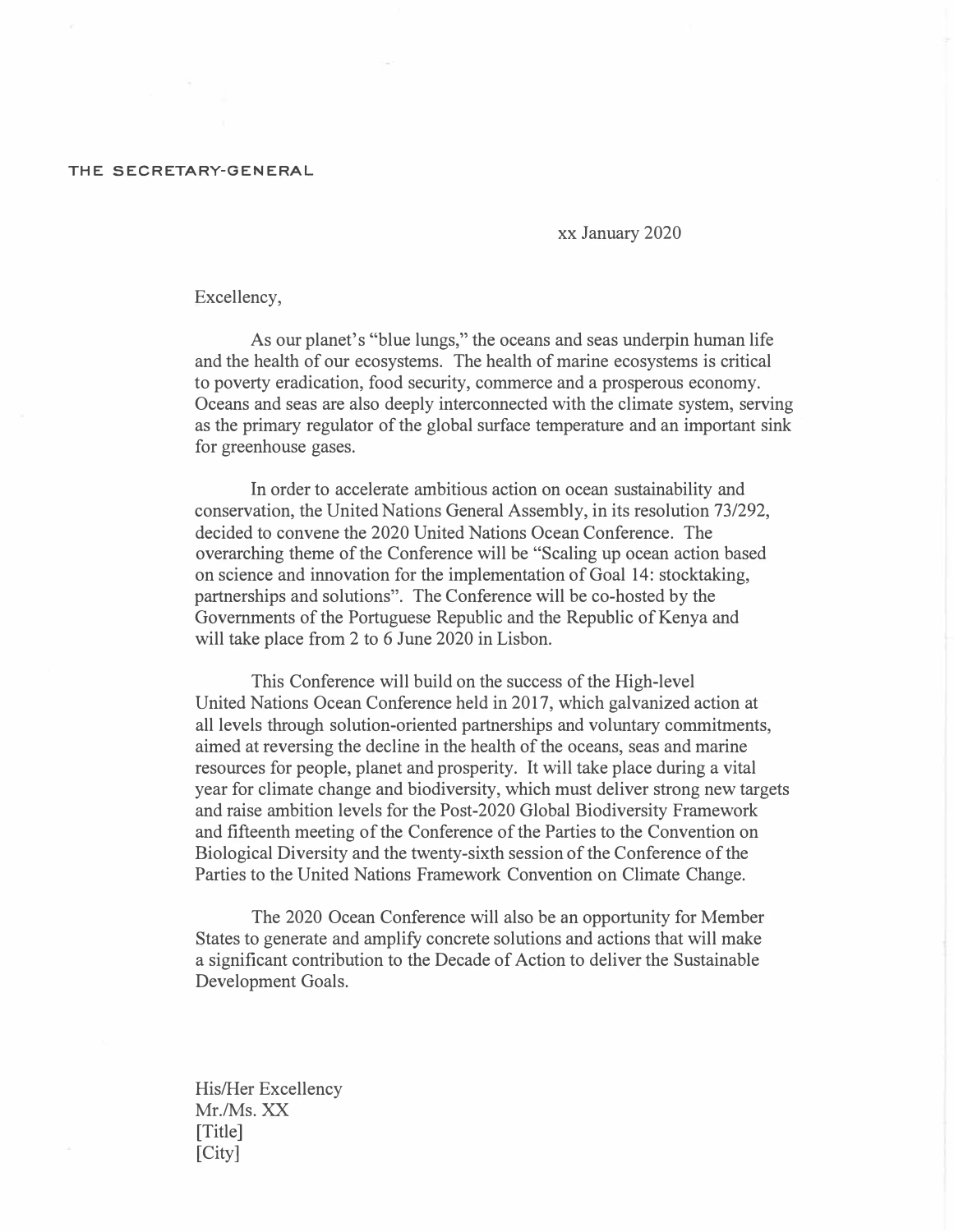## **THE SECRETARY-GENERAL**

xx January 2020

Excellency,

As our planet's "blue lungs," the oceans and seas underpin human life and the health of our ecosystems. The health of marine ecosystems is critical to poverty eradication, food security, commerce and a prosperous economy. Oceans and seas are also deeply interconnected with the climate system, serving as the primary regulator of the global surface temperature and an important sink for greenhouse gases.

In order to accelerate ambitious action on ocean sustainability and conservation, the United Nations General Assembly, in its resolution 73/292, decided to convene the 2020 United Nations Ocean Conference. The overarching theme of the Conference will be "Scaling up ocean action based on science and innovation for the implementation of Goal 14: stocktaking, partnerships and solutions". The Conference will be co-hosted by the Governments of the Portuguese Republic and the Republic of Kenya and will take place from 2 to 6 June 2020 in Lisbon.

This Conference will build on the success of the High-level United Nations Ocean Conference held in 2017, which galvanized action at all levels through solution-oriented partnerships and voluntary commitments, aimed at reversing the decline in the health of the oceans, seas and marine resources for people, planet and prosperity. It will take place during a vital year for climate change and biodiversity, which must deliver strong new targets and raise ambition levels for the Post-2020 Global Biodiversity Framework and fifteenth meeting of the Conference of the Parties to the Convention on Biological Diversity and the twenty-sixth session of the Conference of the Parties to the United Nations Framework Convention on Climate Change.

The 2020 Ocean Conference will also be an opportunity for Member States to generate and amplify concrete solutions and actions that will make a significant contribution to the Decade of Action to deliver the Sustainable Development Goals.

His/Her Excellency Mr./Ms.XX [Title] [City]